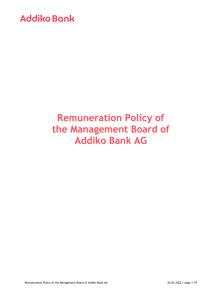# **Remuneration Policy of the Management Board of Addiko Bank AG**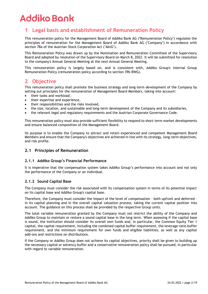## **1 Legal basis and establishment of Remuneration Policy**

This remuneration policy for the Management Board of Addiko Bank AG ("Remuneration Policy") regulates the principles of remuneration for the Management Board of Addiko Bank AG ("Company") in accordance with section 78a of the Austrian Stock Corporation Act ("AktG").

This Remuneration Policy was drawn up by the Nomination and Remuneration Committee of the Supervisory Board and adopted by resolution of the Supervisory Board on March 8, 2022. It will be submitted for resolution to the company's Annual General Meeting at the next Annual General Meeting.

This remuneration policy is largely based on, and is consistent with, Addiko Group's internal Group Remuneration Policy (remuneration policy according to section 39b BWG).

## **2 Objective**

This remuneration policy shall promote the business strategy and long-term development of the Company by setting out principles for the remuneration of Management Board Members, taking into account:

- their tasks and workload,
- their expertise and experience.
- their responsibilities and the risks involved,
- the size, location, and sustainable and long-term development of the Company and its subsidiaries,
- the relevant legal and regulatory requirements and the Austrian Corporate Governance Code.

This remuneration policy must also provide sufficient flexibility to respond to short-term market developments and ensure balanced composition of the Management Board.

Its purpose is to enable the Company to attract and retain experienced and competent Management Board Members and ensure that the Company's objectives are achieved in line with its strategy, long-term objectives, and risk profile.

### **2.1 Principles of Remuneration**

#### **2.1.1 Addiko Group's Financial Performance**

It is imperative that the compensation system takes Addiko Group's performance into account and not only the performance of the Company or an individual.

#### **2.1.2 Sound Capital Base**

The Company must consider the risk associated with its compensation system in terms of its potential impact on its capital base and Addiko Group's capital base.

Therefore, the Company must consider the impact of the level of compensation – both upfront and deferred – in its capital planning and in the overall capital valuation process, taking the current capital position into account. The guidance on this process shall be provided by the respective Group units.

The total variable remuneration granted by the Company must not restrict the ability of the Company and Addiko Group to maintain or restore a sound capital base in the long term. When assessing if the capital base is sound, the institution should consider its overall own funds and, in particular, the Common Equity Tier 1 capital, the capital requirement, including the combined capital buffer requirement, the leverage ratio buffer requirement, and the minimum requirement for own funds and eligible liabilities, as well as any capital add-ons and restrictions on distributions.

If the Company or Addiko Group does not achieve its capital objectives, priority shall be given to building up the necessary capital or solvency buffer and a conservative remuneration policy shall be pursued, in particular with regard to variable remuneration.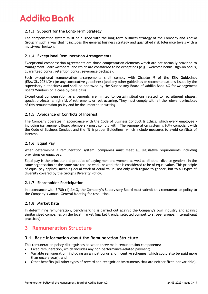### **2.1.3 Support for the Long-Term Strategy**

The compensation system must be aligned with the long-term business strategy of the Company and Addiko Group in such a way that it includes the general business strategy and quantified risk tolerance levels with a multi-year horizon.

#### **2.1.4 Exceptional Remuneration Arrangements**

Exceptional compensation agreements are those compensation elements which are not normally provided to Management Board Members, and which are considered to be exceptions (e.g., welcome bonus, sign-on bonus, guaranteed bonus, retention bonus, severance package).

Such exceptional remuneration arrangements shall comply with Chapter 9 of the EBA Guidelines (EBA/GL/2021/04) (or any consecutive guidelines) (and any other guidelines or recommendations issued by the supervisory authorities) and shall be approved by the Supervisory Board of Addiko Bank AG for Management Board Members on a case-by-case basis.

Exceptional compensation arrangements are limited to certain situations related to recruitment phases, special projects, a high risk of retirement, or restructuring. They must comply with all the relevant principles of this remuneration policy and be documented in writing.

#### **2.1.5 Avoidance of Conflicts of Interest**

The Company operates in accordance with the Code of Business Conduct  $\theta$  Ethics, which every employee including Management Board Members - must comply with. The remuneration system is fully compliant with the Code of Business Conduct and the fit & proper Guidelines, which include measures to avoid conflicts of interest.

#### **2.1.6 Equal Pay**

When determining a remuneration system, companies must meet all legislative requirements including provisions on equal pay.

Equal pay is the principle and practice of paying men and women, as well as all other diverse genders, in the same organisation at the same rate for like work, or work that is considered to be of equal value. This principle of equal pay applies, meaning equal work of equal value, not only with regard to gender, but to all types of diversity covered by the Group's Diversity Policy.

#### **2.1.7 Shareholder Participation**

In accordance with § 78b (1) AktG, the Company's Supervisory Board must submit this remuneration policy to the Company's Annual General Meeting for resolution.

#### **2.1.8 Market Data**

In determining remuneration, benchmarking is carried out against the Company's own industry and against similar sized companies on the local market (market trends, selected competitors, peer groups, international practices).

## **3 Remuneration Structure**

#### **3.1 Basic Information about the Remuneration Structure**

This remuneration policy distinguishes between three main remuneration components:

- Fixed remuneration, which includes any non-performance-related payment;
- Variable remuneration, including an annual bonus and incentive schemes (which could also be paid more than once a year); and
- Other benefits (all other types of reward and recognition instruments that are neither fixed nor variable).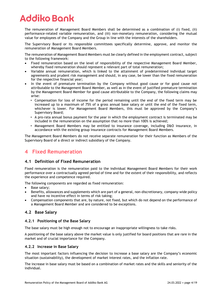The remuneration of Management Board Members shall be determined as a combination of (i) fixed, (ii) performance-related variable remuneration, and (iii) non-monetary remuneration, considering the mutual value for employees of the Company and the Group in line with the interests of the shareholders.

The Supervisory Board or its responsible committees specifically determine, approve, and monitor the remuneration of Management Board Members.

The remuneration of Management Board Members must be clearly defined in the employment contract, subject to the following framework:

- Fixed remuneration based on the level of responsibility of the respective Management Board Member, whereby fixed remuneration should represent a relevant part of total remuneration;
- Variable annual remuneration, which is linked to the attainment of predetermined individual target agreements and prudent risk management and should, in any case, be lower than the fixed remuneration for the respective financial year;
- In the event of premature termination by the Company without good cause or for good cause not attributable to the Management Board Member, as well as in the event of justified premature termination by the Management Board Member for good cause attributable to the Company, the following claims may arise:
	- Compensation for loss of income for the period remaining until the end of the fixed term may be increased up to a maximum of 75% of a gross annual base salary or until the end of the fixed term, whichever is lower. For Management Board Members, this must be approved by the Company's Supervisory Board;
	- A pro-rata annual bonus payment for the year in which the employment contract is terminated may be included in the remuneration on the assumption that no more than 100% is achieved;
	- Management Board Members may be entitled to insurance coverage, including D&O insurance, in accordance with the existing group insurance contracts for Management Board Members.

The Management Board Members do not receive separate remuneration for their function as Members of the Supervisory Board of a direct or indirect subsidiary of the Company.

## **4 Fixed Remuneration**

#### **4.1 Definition of Fixed Remuneration**

Fixed remuneration is the remuneration paid to the individual Management Board Members for their work performance over a contractually agreed period of time and for the extent of their responsibility, and reflects the experience and competence required.

- The following components are regarded as fixed remuneration:
- Base salary;
- Benefits, allowances and supplements which are part of a general, non-discretionary, company-wide policy and have no incentive effect in terms of risk taking;
- Compensation components that are, by nature, not fixed, but which do not depend on the performance of a Management Board Member and are considered to be exceptions.

### **4.2 Base Salary**

#### **4.2.1 Positioning of the Base Salary**

The base salary must be high enough not to encourage an inappropriate willingness to take risks.

A positioning of the base salary above the market value is only justified for board positions that are rare in the market and of crucial importance for the Company.

#### **4.2.2 Increase in Base Salary**

The most important factors influencing the decision to increase a base salary are the Company's economic situation (sustainability), the development of market interest rates, and the inflation rate.

The increase in base salary must be based on a combination of market rates and the skills and seniority of the individual.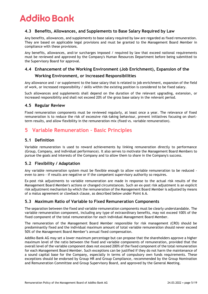### **4.3 Benefits, Allowances, and Supplements to Base Salary Required by Law**

Any benefits, allowances, and supplements to base salary required by law are regarded as fixed remuneration. They are based on applicable legal provisions and must be granted to the Management Board Member in compliance with these provisions.

Any benefits, allowances, and/or surcharges imposed / required by law that exceed national requirements must be reviewed and approved by the Company's Human Resources Department before being submitted to the Supervisory Board for approval.

## **4.4 Enhancement of the Working Environment (Job Enrichment), Expansion of the**

### **Working Environment, or Increased Responsibilities**

Any allowance and / or supplement to the base salary that is related to job enrichment, expansion of the field of work, or increased responsibility / skills within the existing position is considered to be fixed salary.

Such allowances and supplements shall depend on the duration of the relevant upgrading, extension, or increased responsibility and shall not exceed 20% of the gross base salary in the relevant period.

### **4.5 Regular Review**

Fixed remuneration components must be reviewed regularly, at least once a year. The relevance of fixed remuneration is to reduce the risk of excessive risk-taking behaviour, prevent initiatives focusing on shortterm results, and allow flexibility in the remuneration mix (fixed vs. variable remuneration).

## **5 Variable Remuneration – Basic Principles**

#### **5.1 Definition**

Variable remuneration is used to reward achievements by linking remuneration directly to performance (Group, Company, and individual performance). It also serves to motivate the Management Board Members to pursue the goals and interests of the Company and to allow them to share in the Company's success.

### **5.2 Flexibility / Adaptation**

Any variable remuneration system must be flexible enough to allow variable remuneration to be reduced even to zero - if results are negative or if the competent supervisory authority so requires.

Ex-post risk adjustments to variable remuneration are made in response to the actual risk results of the Management Board Member's actions or changed circumstances. Such an ex-post risk adjustment is an explicit risk adjustment mechanism by which the remuneration of the Management Board Member is adjusted by means of a malus agreement or clawback clause, as described below under Point 6.6.

### **5.3 Maximum Ratio of Variable to Fixed Remuneration Components**

The separation between the fixed and variable remuneration components must be clearly understandable. The variable remuneration component, including any type of extraordinary benefits, may not exceed 100% of the fixed component of the total remuneration for each individual Management Board Member.

The remuneration of the Management Board Member responsible for risk management (CRO) should be predominantly fixed and the individual maximum amount of total variable remuneration should never exceed 50% of the Management Board Member's annual fixed compensation.

Addiko Bank AG may set a lower maximum percentage but can propose that the shareholders approve a higher maximum level of the ratio between the fixed and variable components of remuneration, provided that the overall level of the variable component does not exceed 200% of the fixed component of the total remuneration for each Management Board Member. Such exceptions can be justified if they do not harm the maintenance of a sound capital base for the Company, especially in terms of compulsory own funds requirements. These exceptions should be endorsed by Group HR and Group Compliance, recommended by the Group Nomination and Remuneration Committee and Group Supervisory Board, and approved by the General Meeting.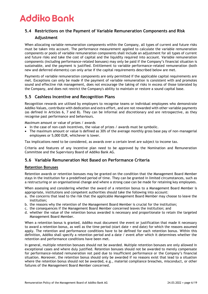### **5.4 Restrictions on the Payment of Variable Remuneration Components and Risk**

#### **Adjustment**

When allocating variable remuneration components within the Company, all types of current and future risks must be taken into account. The performance measurement applied to calculate the variable remuneration components or pools of variable remuneration components shall include an adjustment for all types of current and future risks and take the cost of capital and the liquidity required into account. Variable remuneration components (including performance-related bonuses) may only be paid if the Company's financial situation is sustainable, and the payment is justified. Entitlement to variable performance-related remuneration (both new and deferred elements) can only arise if the capital requirements described below are met.

Payments of variable remuneration components are only permitted if the applicable capital requirements are met. Exceptions can only be made if the payment of variable remuneration is consistent with and promotes sound and effective risk management, does not encourage the taking of risks in excess of those tolerated by the Company, and does not restrict the Company's ability to maintain or restore a sound capital base.

### **5.5 Cashless Incentive and Recognition Plans**

Recognition rewards are utilised by employers to recognise teams or individual employees who demonstrate Addiko Values, contribute with dedication and extra effort, and are not rewarded with other variable payments (as defined in Articles 6, 7 and 8). They can be informal and discretionary and are retrospective, as they recognise past performance and behaviours.

Maximum amount or value of prizes / awards

- In the case of non-cash incentives, the value of prizes / awards must be symbolic.
- The maximum amount or value is defined as 30% of the average monthly gross base pay of non-managerial employees or 5,000 EUR, whichever is lower.

Tax implications need to be considered, as awards over a certain level are subject to income tax.

Criteria and features of any incentive plan need to be approved by the Nomination and Remuneration Committee and the Supervisory Board of Addiko Bank AG.

#### **5.6 Variable Remuneration Not Based on Performance Criteria**

#### **Retention Bonuses**

Retention awards or retention bonuses may be granted on the condition that the Management Board Member stays in the institution for a predefined period of time. They can be granted in limited circumstances, such as a restructuring or an organisational change and where a strong case can be made for retaining key employees.

When assessing and considering whether the award of a retention bonus to a Management Board Member is appropriate, institutions and competent authorities should take the following into account:

- a. the concerns that lead to the risk that the applicable Management Board Member may choose to leave the institution;
- b. the reasons why the retention of the Management Board Member is crucial for the institution;
- c. the consequences if the Management Board Member concerned leaves the institution; and
- d. whether the value of the retention bonus awarded is necessary and proportionate to retain the targeted Management Board Member.

When a retention bonus is granted, Addiko must document the event or justification that made it necessary to award a retention bonus, as well as the time period (start date + end date) for which the reasons assumed apply. The retention and performance conditions have to be defined for each retention bonus. Within this definition, Addiko shall specify a retention period and a date / event after which it determines whether the retention and performance conditions have been met.

In general, multiple retention bonuses should not be awarded. Multiple retention bonuses are only allowed in exceptional cases and where duly justified. Retention bonuses should not be awarded to merely compensate for performance‐related remuneration not paid due to insufficient performance or the Company's financial situation. Moreover, the retention bonus should only be awarded if no reasons exist that lead to a situation where the retention bonus should not be awarded, e.g., material compliance breaches, misconduct, or other failures of the Management Board Member concerned.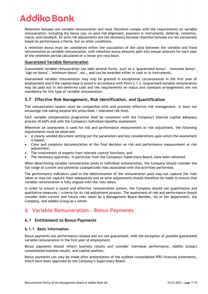Retention bonuses are variable remuneration and must therefore comply with the requirements on variable remuneration, including the bonus cap, ex-post risk alignment, payment in instruments, deferral, retention, malus, and clawback. Ex-ante risk adjustments are not necessary because retention bonuses are not exclusively based on performance criteria, but on other conditions.

A retention bonus must be considered within the calculation of the ratio between the variable and fixed remuneration as variable remuneration, with retention bonus amounts split into annual amounts for each year of the retention period calculated on a linear pro rata basis.

#### **Guaranteed Variable Remuneration**

Guaranteed variable remuneration can take several forms, such as a 'guaranteed bonus', 'welcome bonus', 'sign-on bonus', 'minimum bonus', etc., and can be awarded either in cash or in instruments.

Guaranteed variable remuneration may only be granted in exceptional circumstances in the first year of employment and if the capital base is sound in accordance with Point 2.1.2. Guaranteed variable remuneration may be paid out in non‐deferred cash and the requirements on malus and clawback arrangements are not mandatory for this type of variable remuneration.

### **5.7 Effective Risk Management, Risk Identification, and Quantification**

The remuneration system must be compatible with and promote effective risk management. It must not encourage risk-taking beyond the prescribed / tolerated risk level.

Each variable compensation programme shall be consistent with the Company's internal capital adequacy process (ICAAP) and with the Company's individual liquidity assessment.

Whenever an assessment is used for risk and performance measurement or risk adjustment, the following requirements must be observed:

- A clearly worded document setting out the parameters and key considerations upon which the assessment is based;
- Clear and complete documentation of the final decision on risk and performance measurement or risk adjustment;
- The involvement of experts from relevant control functions; and
- The necessary approvals, in particular from the Company's Supervisory Board, have been obtained.

When determining variable remuneration pools or individual remuneration, the Company should consider the full range of current and potential (unexpected) risks associated with the activities performed.

The performance indicators used in the determination of the remuneration pool may not capture the risks taken or may not capture them adequately and ex-ante adjustments should therefore be made to ensure that variable remuneration is fully aligned with the risks taken.

In order to ensure a sound and effective remuneration system, the Company should use quantitative and qualitative measures / criteria for its risk adjustment process. The assessment of risk and performance should consider both current and future risks taken by a Management Board Member, his or her department, the Company, and Addiko Group as a whole.

## **6 Variable Remuneration – Bonus Payments**

#### **6.1 Entitlement to Bonus Payments**

#### **6.1.1 Basic Information**

Bonus payments are performance-related and are not guaranteed, with the exception of possible guaranteed variable remuneration in the first year of employment.

Bonus payments should reflect business results and consider individual performance, Addiko Group's consolidated business results, and capital position.

Bonus payments can only be made after presentation of the audited consolidated IFRS financial statements, which have been approved by the Company's Supervisory Board.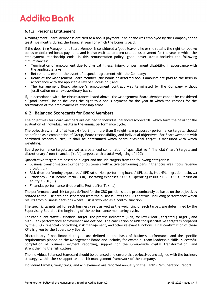### **6.1.2 Personal Entitlement**

A Management Board Member is entitled to a bonus payment if he or she was employed by the Company for at least five months during the financial year for which the bonus is paid.

If the departing Management Board Member is considered a "good leaver", he or she retains the right to receive bonus or deferred bonus payments and is also entitled to a pro rata bonus payment for the year in which the employment relationship ends. In this remuneration policy, good leaver status includes the following circumstances:

- Termination of employment due to physical illness, injury, or permanent disability, in accordance with the applicable laws;
- Retirement, even in the event of a special agreement with the Company;
- Death of the Management Board Member (the bonus or deferred bonus amounts are paid to the heirs in accordance with the applicable law of succession); and
- The Management Board Member's employment contract was terminated by the Company without justification on an extraordinary basis.

If, in accordance with the circumstances listed above, the Management Board Member cannot be considered a "good leaver", he or she loses the right to a bonus payment for the year in which the reasons for the termination of the employment relationship arose.

### **6.2 Balanced Scorecards for Board Members**

The objectives for Board Members are defined in individual balanced scorecards, which form the basis for the evaluation of individual results in the annual performance cycle.

The objectives, a list of at least 4 (four) (no more than 8 (eight) are proposed) performance targets, should be defined as a combination of Group, Board responsibility, and individual objectives. For Board Members with combined responsibilities, it shall be determined which board divisional target is measured with which weighting.

Board performance targets are set as a balanced combination of quantitative / financial ("hard") targets and discretionary / non-financial ("soft") targets, with a total weighting of 100%.

Quantitative targets are based on budget and include targets from the following categories:

- Business transformation (number of customers with active performing loans in the focus area, focus revenue growth, …)
- Risk (Non-performing exposures / NPE ratio, Non-performing loans / NPL stock, Net NPL migration ratio, …)
- Efficiency (Cost Income Ratio / CIR, Operating expenses / OPEX, Operating result / NBI OPEX, Return on equity / ROE, …)
- Financial performance (Net profit, Profit after Tax, …)

The performance and risk targets defined for the CRO position should predominantly be based on the objectives related to the Risk area and separated from the business units the CRO controls, including performance which results from business decisions where Risk is involved as a control function.

The specific targets set for each business year, as well as the weighting of each target, are determined by the Supervisory Board at the beginning of the performance monitoring cycle.

For each quantitative / financial target, the precise indicators (KPIs) for low (Floor), targeted (Target), and high (Cap) performance achievement are defined. The calculation of KPIs for quantitative targets is prepared by the CFO / financial controlling, risk management, and other relevant functions. Final confirmation of these KPIs is given by the Supervisory Board.

Discretionary / non-financial targets are defined on the basis of business performance and the specific requirements placed on the Management Board and include, for example, team leadership skills, successful completion of business segment reporting, support for the Group-wide digital transformation, and strengthening the risk culture.

The individual Balanced Scorecard should be balanced and ensure that objectives are aligned with the business strategy, within the risk appetite and risk management framework of the company.

Individual targets, weightings, and achievement are reported annually in the Bank's Remuneration Report.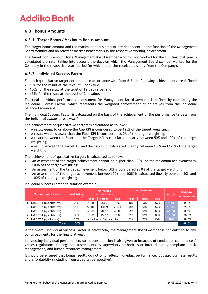### **6.3 Bonus Amounts**

#### **6.3.1 Target Bonus / Maximum Bonus Amount**

The target bonus amount and the maximum bonus amount are dependent on the function of the Management Board Member and on relevant market benchmarks in the respective working environment.

The target bonus amount for a Management Board Member who has not worked for the full financial year is calculated pro rata, taking into account the days on which the Management Board Member worked for the Company in the respective year (period for which he or she received a salary from the Company).

#### **6.3.2 Individual Success Factor**

For each quantitative target determined in accordance with Point 6.2, the following achievements are defined:

- 50% for the result at the level of Floor value,
- 100% for the result at the level of Target value, and
- 125% for the result at the level of Cap value.

The final individual performance assessment for Management Board Members is defined by calculating the Individual Success Factor, which represents the weighted achievement of objectives from the individual balanced scorecard.

The Individual Success Factor is calculated on the basis of the achievement of the performance targets from the individual *balanced scorecard.*

The achievement of quantitative targets is calculated as follows:

- A result equal to or above the Cap KPI is considered to be 125% of the target weighting;
- A result which is lower than the Floor KPI is considered as 0% of the target weighting;
- A result between the Floor and the Target KPI is calculated linearly between 50% and 100% of the target weighting;
- A result between the Target KPI and the Cap KPI is calculated linearly between 100% and 125% of the target weighting.

The achievement of qualitative targets is calculated as follows:

- An assessment of the target achievement cannot be higher than 100%, so the maximum achievement is 100% of the target weighting;
- An assessment of the target achievement below 50% is considered as 0% of the target weighting;
- An assessment of the target achievement between 50% and 100% is calculated linearly between 50% and 100% of the target weighting.

**Floor Target Cap Floor Target Cap** 1 TARGET 1 (quantitative) 20% 1.00 **2.00** 3.00 *50% 100% 125%* **1.50** 15.0% 2 TARGET 2 (quantitative) 20% 5.00% **3.00%** 2.00% *50% 100% 125%* **1.80%** 25.0% 3 TARGET 3 (quantitative) 10% 60.00 **50.00** 40.00 *50% 100% 125%* **61.00** 0.0% 4 TARGET 4 (quantitative) 30% 10.00 **15.00** 18.00 *50% 100% 125%* **15.00** 30.0% 5 TARGET 5 (qualitative)  $\begin{array}{|l|} \hline \end{array}$  20%  $\begin{array}{|l|}$  defined by the Supervisory Board  $\begin{array}{|l|} \hline \end{array}$  50%  $\begin{array}{|l|} \hline \end{array}$  100%  $\begin{array}{|l|} \hline \end{array}$  90%  $\begin{array}{|l|} \hline \end{array}$  18.0% **Total 100% 88.0% Target descriptions weighting KPI values** (amounts in EURm) **achievement at a Actuals Weighted achievement**

Individual Success Factor calculation example:

If the overall Individual Success Factor is below 50%, the Management Board Member is not entitled to any bonus payments for the financial year.

In assessing individual performance, strict consideration is also given to breaches of conduct or compliance / values regulations, findings and assessments by supervisory authorities or internal audit, compliance, risk management, and human resources management.

It should be ensured that bonus results do not only reflect individual performance, but also business results and affordability (including from a capital perspective).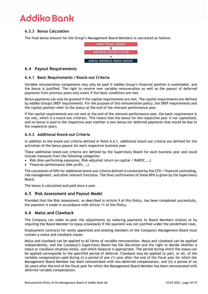### **6.3.3 Bonus Calculation**

The final bonus amount for the Group's Management Board Members is calculated as follows:



### **6.4 Payout Requirements**

#### **6.4.1 Basic Requirements / Knock-out Criteria**

Variable remuneration components may only be paid if Addiko Group's financial position is sustainable, and the bonus is justified. The right to receive new variable remuneration as well as the payout of deferred payments from previous years only exists if the basic conditions are met.

Bonus payments can only be granted if the capital requirements are met. The capital requirements are defined by Addiko Group's SREP requirements. For the purpose of this remuneration policy, the SREP requirements and the capital position refer to the status at the end of the relevant performance year.

If the capital requirements are not met at the end of the relevant performance year, the basic requirement is not met, which is a knock-out criterion. This means that the bonus for the respective year is not capitalised, and no bonus is paid in the respective year (neither a new bonus nor deferred payments that would be due in the respective year).

#### **6.4.2 Additional Knock-out Criteria**

In addition to the knock-out criteria defined in Point 6.4.1, additional knock-out criteria are defined for the activation of the bonus payout for each respective business year.

These additional knock-out criteria are defined by the Supervisory Board for each business year and could include measures from the following categories:

- Risk (Non-performing exposures, Risk-adjusted return on capital / RAROC, …)
- Financial performance (Net profit, …)

The calculation of KPIs for additional knock-out criteria defined is conducted by the CFO / financial controlling, risk management, and other relevant functions. The final confirmation of these KPIs is given by the Supervisory Board.

The bonus is calculated and paid once a year.

#### **6.5 Risk Assessment and Payout Model**

Provided that the Risk Assessment, as described in Article 9 of this Policy, has been completed successfully, the payment is made in accordance with Article 11 of this Policy.

#### **6.6 Malus and Clawback**

The Company can make ex-post risk adjustments by reducing payments to Board Members (malus) or by requiring the Board Member to repay (clawback) if the payment was not justified under the predefined rules.

Employment contracts for newly appointed and existing members of the Company's Management Board must contain a malus and clawback clause.

Malus and clawback can be applied to all forms of variable remuneration. Malus and clawback can be applied independently, and the Company's Supervisory Board has the discretion and the right to decide whether a malus or clawback situation exists, and which measure is appropriate. The period during which the malus can be applied corresponds to the specified period of deferral. Clawback may be applied to part, or all, of the variable compensation paid during (i) a period of one (1) year after the end of the fiscal year for which the Management Board Member has been remunerated with non-deferred compensation, and (ii) a period of six (6) years after the end of the fiscal year for which the Management Board Member has been remunerated with ET A Proper Content of the Competer of the Competer of the Competer of the Bondel Management SM Management SM Management SM Management SM Management SM Management SM Management SM Management SM Management SM Management SM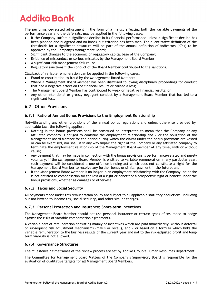The performance-related adjustment in the form of a malus, affecting both the variable payments of the performance year and the deferrals, may be applied in the following cases:

- If the Company suffers a significant decline in its financial performance unless a significant decline has been planned and budgeted and no knock-out criterion has been met. The quantitative definition of the thresholds for a significant downturn will be part of the annual definition of indicators (KPIs) to be approved by the Company's Management Board;
- Significant changes to the economic or regulatory capital base of the Company;
- Evidence of misconduct or serious mistakes by the Management Board Member;
- A significant risk management failure; or
- Regulatory sanctions if the conduct of the Board Member contributed to the sanctions.

Clawback of variable remuneration can be applied in the following cases:

- Fraud or contribution to fraud by the Management Board Member;
- Where a Management Board Member has been dismissed following disciplinary proceedings for conduct that had a negative effect on the financial results or caused a loss;
- The Management Board Member has contributed to weak or negative financial results; or
- Any other intentional or grossly negligent conduct by a Management Board Member that has led to a significant loss.

### **6.7 Other Provisions**

#### **6.7.1 Ratio of Annual Bonus Provisions to the Employment Relationship**

Notwithstanding any other provisions of the annual bonus regulations and unless otherwise provided by applicable law, the following applies:

- Nothing in the bonus provisions shall be construed or interpreted to mean that the Company or any affiliated company is obliged to continue the employment relationship and / or the obligation of the Management Board Member for the period during which the claims under the bonus provisions are vested or can be exercised, nor shall it in any way impair the right of the Company or any affiliated company to terminate the employment relationship of the Management Board Member at any time, with or without cause;
- Any payment that may be made in connection with the bonus provisions is performance-related and purely voluntary; if the Management Board Member is entitled to variable remuneration in any particular year, such payment will be considered a one-off, non-binding act which does not constitute a right for the Management Board Member to receive any further bonus or similar payment in the future; and
- If the Management Board Member is no longer in an employment relationship with the Company, he or she is not entitled to compensation for the loss of a right or benefit or a prospective right or benefit under the bonus provisions, whether as damages or otherwise.

#### **6.7.2 Taxes and Social Security**

All payments made under this remuneration policy are subject to all applicable statutory deductions, including but not limited to income tax, social security, and other similar charges.

#### **6.7.3 Personal Protection and Insurance; Short-term Incentives**

The Management Board Member should not use personal insurance or certain types of insurance to hedge against the risks of variable compensation agreements.

A variable part of remuneration consisting mainly of incentives which are paid immediately, without deferral or subsequent risk adjustment mechanisms (malus or recall), and / or based on a formula which links the variable remuneration to the business results of the current year and not to the risk-adjusted profit and longterm viability is not allowed.

#### **6.7.4 Governance Structures**

The milestones / timeframes of the review process are set by Addiko Group's Human Resources Department.

The Committee for Management Board Matters of the Company's Supervisory Board is responsible for the evaluation of qualitative targets for all Management Board Members.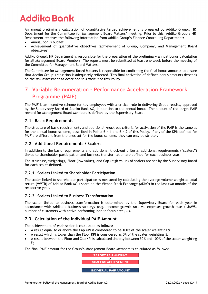An annual preliminary calculation of quantitative target achievement is prepared by Addiko Group's HR Department for the Committee for Management Board Matters' meeting. Prior to this, Addiko Group's HR Department receives the following information from Addiko Group's Finance Controlling Department:

- Annual bonus budget
- Achievement of quantitative objectives (achievement of Group, Company, and Management Board objectives)

Addiko Group's HR Department is responsible for the preparation of the preliminary annual bonus calculation for all Management Board Members. The reports must be submitted at least one week before the meeting of the Committee for Management Board Matters.

The Committee for Management Board Matters is responsible for confirming the final bonus amounts to ensure that Addiko Group's situation is adequately reflected. This final activation of defined bonus amounts depends on the risk assessment as described in Article 9 of this Policy.

## **7 Variable Remuneration – Performance Acceleration Framework Programme (PAIF)**

The PAIF is an incentive scheme for key employees with a critical role in delivering Group results, approved by the Supervisory Board of Addiko Bank AG, in addition to the annual bonus. The amount of the target PAIF reward for Management Board Members is defined by the Supervisory Board.

#### **7.1 Basic Requirements**

The structure of basic requirements and additional knock-out criteria for activation of the PAIF is the same as for the annual bonus scheme, described in Points 6.4.1 and 6.4.2 of this Policy. If any of the KPIs defined for PAIF are different from the ones set for the bonus scheme, they can only be stricter.

### **7.2 Additional Requirements / Scalers**

In addition to the basic requirements and additional knock-out criteria, additional requirements ("scalers") linked to shareholder participation and business transformation are defined for each business year.

The structure, weightings, Floor (low value), and Cap (high value) of scalers are set by the Supervisory Board for each scaler defined.

#### **7.2.1 Scalers Linked to Shareholder Participation**

The scaler linked to shareholder participation is measured by calculating the average volume-weighted total return (VWTR) of Addiko Bank AG's share on the Vienna Stock Exchange (ADKO) in the last two months of the respective year.

#### **7.2.2 Scalers Linked to Business Transformation**

The scaler linked to business transformation is determined by the Supervisory Board for each year in accordance with Addiko's business strategy (e.g., income growth rate vs. expenses growth rate / JAWS, number of customers with active performing loan in focus area, …).

### **7.3 Calculation of the Individual PAIF Amount**

The achievement of each scaler is calculated as follows:

- A result equal to or above the Cap KPI is considered to be 100% of the scaler weighting %;
- A result which is lower than the Floor KPI is considered as 0% of the scaler weighting %;
- A result between the Floor and Cap KPI is calculated linearly between 50% and 100% of the scaler weighting %;

The final PAIF amount for the Group's Management Board Members is calculated as follows:

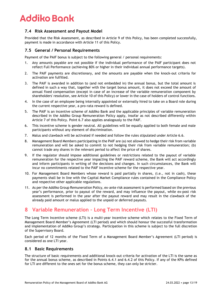### **7.4 Risk Assessment and Payout Model**

Provided that the Risk Assessment, as described in Article 9 of this Policy, has been completed successfully, payment is made in accordance with Article 11 of this Policy.

### **7.5 General / Personal Requirements**

Payment of the PAIF bonus is subject to the following general / personal requirements:

- 1. Any amounts payable are not possible if the individual performance of the PAIF participant does not reflect Full Performance (achieving 80% or higher in their individual annual performance targets).
- 2. The PAIF payments are discretionary, and the amounts are payable when the knock-out criteria for activation are fulfilled.
- 3. The PAIF is awarded in addition to (and not embedded in) the annual bonus, but the total amount is defined in such a way that, together with the target bonus amount, it does not exceed the amount of annual fixed compensation (except in case of an increase of the variable remuneration component by shareholders' resolution, see Article 10 of this Policy) or lower in the case of holders of control functions.
- 4. In the case of an employee being internally appointed or externally hired to take on a Board role during the current respective year, a pro-rata reward is defined.
- 5. The PAIF is an incentive scheme of Addiko Bank and the applicable principles of variable remuneration described in the Addiko Group Remuneration Policy apply, insofar as not described differently within Article 7 of this Policy. Point 6.7 also applies analogously to the PAIF.
- 6. This incentive scheme is gender neutral. All guidelines will be equally applied to both female and male participants without any element of discrimination.
- 7. Malus and clawback will be activated if needed and follow the rules stipulated under Article 6.6.
- 8. Management Board Members participating in the PAIF are (a) not allowed to hedge their risk from variable remuneration and will be asked to commit to not hedging their risk from variable remuneration; (b) cannot trade any shares in the relevant period to affect the price of shares.
- 9. If the regulator should impose additional guidelines or restrictions related to the payout of variable remuneration for the respective year impacting the PAIF reward scheme, the Bank will act accordingly and inform participants in writing of the decisions and changes. In such circumstances, the Bank will incur no commitments related to the PAIF incentive scheme for the respective year.
- 10. For Management Board Members whose reward is paid partially in shares, (i.e., not in cash), these payments shall be in line with the Capital Market Compliance rules contained in the Compliance Policy and respective other applicable regulations.
- 11. As per the Addiko Group Remuneration Policy, ex-ante risk assessment is performed based on the previous year's performance, prior to payout of the reward, and may influence the payout, while ex-post risk assessment is performed in the year after the payout reward and may result in the clawback of the already paid amount or malus applied to the unpaid or deferred payouts.

## **8 Variable Remuneration – Long Term Incentive (LTI)**

The Long Term Incentive scheme (LTI) is a multi-year incentive scheme which relates to the Fixed Term of Management Board Member's Agreement (LTI period) and which should honour the successful transformation and implementation of Addiko Group's strategy. Participation in this scheme is subject to the full discretion of the Supervisory Board.

Each period of 12 months of the Fixed Term of a Management Board Member's Agreement (LTI period) is considered as one LTI year.

#### **8.1 Basic Requirements**

The structure of basic requirements and additional knock-out criteria for activation of the LTI is the same as for the annual bonus scheme, as described in Points 6.4.1 and 6.4.2 of this Policy. If any of the KPIs defined for LTI are different to the ones set for the bonus scheme, they can only be stricter.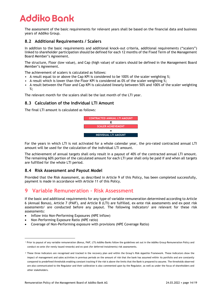The assessment of the basic requirements for relevant years shall be based on the financial data and business years of Addiko Group.

### **8.2 Additional Requirements / Scalers**

In addition to the basic requirements and additional knock-out criteria, additional requirements ("scalers") linked to shareholder participation should be defined for each 12 months of the Fixed Term of the Management Board Member's Agreement.

The structure, Floor (low value), and Cap (high value) of scalers should be defined in the Management Board Member's Agreement.

The achievement of scalers is calculated as follows:

- A result equal to or above the Cap KPI is considered to be 100% of the scaler weighting %;
- A result which is lower than the Floor KPI is considered as 0% of the scaler weighting %;
- A result between the Floor and Cap KPI is calculated linearly between 50% and 100% of the scaler weighting %;

The relevant month for the scalers shall be the last month of the LTI year.

#### **8.3 Calculation of the Individual LTI Amount**

The final LTI amount is calculated as follows:



For the years in which LTI is not activated for a whole calendar year, the pro-rated contracted annual LTI amount will be used for the calculation of the individual LTI amount.

The achievement of annual targets shall only result in a payout of 40% of the contracted annual LTI amount. The remaining 60% portion of the calculated amount for each LTI year shall only be paid if and when all targets are fulfilled for the whole LTI period.

#### **8.4 Risk Assessment and Payout Model**

Provided that the Risk Assessment, as described in Article 9 of this Policy, has been completed successfully, payment is made in accordance with Article 11 of this Policy.

## **9 Variable Remuneration – Risk Assessment**

If the basic and additional requirements for any type of variable remuneration determined according to Article 6 (Annual Bonus), Article 7 (PAIF), and Article 8 (LTI) are fulfilled, ex-ante risk assessments and ex-post risk assessments<sup>1</sup> are conducted before any payout. The following indicators<sup>2</sup> are relevant for these risk assessments:

- Inflow into Non-Performing Exposures (NPE Inflow)
- Non–Performing Exposure Ratio (NPE ratio)
- Coverage of Non-Performing exposure with provisions (NPE Coverage Ratio)

<sup>1</sup> Prior to payout of any variable remuneration (Bonus, PAIF, LTI) Addiko Banks follow the guidelines set out in the Addiko Group Remuneration Policy and conduct ex-ante (for newly issued rewards) and ex-post (for deferred instalments) risk assessments.

<sup>&</sup>lt;sup>2</sup> These three Indicators are recognised and tracked in the recovery plan and within the Group's Risk Appetite Framework. These Indicators show the impact of management and sales activities in previous periods on the amount of risk that the bank has assumed within its portfolio and are constantly compared to predefined thresholds enabling constant tracking if the risk is above the limits that the Bank is prepared to assume. The thresholds observed are also communicated to the Regulator and their calibration is also commented upon by the Regulator, as well as under the focus of shareholders and CONTRACTED AND INTOUR CONTRACTED AND SCALER ACHIEVEMENT<br>
SCALER ACHIEVEMENT<br>
INDIVIOUAL LTI AMOUNT<br>
TO WORD CONTRACTED AND INTOURCE THE MOUNT<br>
THE PERIDIMPHONE ON THE CONTRACTED AND INTO THE AMOUNT<br>
THE PERIDIMPHONE ON SUC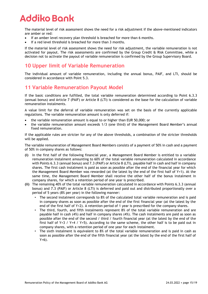The material level of risk assessment shows the need for a risk adjustment if the above-mentioned indicators are amber or red:

- If an amber level recovery plan threshold is breached for more than 6 months.
- If a red level threshold is breached for more than 3 months.

If the material level of risk assessment shows the need for risk adjustment, the variable remuneration is not activated for payout. The risk assessments are confirmed by the Group Credit & Risk Committee, while a decision not to activate the payout of variable remuneration is confirmed by the Group Supervisory Board.

## **10 Upper limit of Variable Remuneration**

The individual amount of variable remuneration, including the annual bonus, PAIF, and LTI, should be considered in accordance with Point 5.3.

## **11 Variable Remuneration Payout Model**

If the basic conditions are fulfilled, the total variable remuneration determined according to Point 6.3.3 (annual bonus) and Article 7 (PAIF) or Article 8 (LTI) is considered as the base for the calculation of variable remuneration instalments.

A value limit for the deferral of variable remuneration was set on the basis of the currently applicable regulations. The variable remuneration amount is only deferred if:

- the variable remuneration amount is equal to or higher than EUR 50,000; or
- the variable remuneration amount exceeds 1/3 (one third) of the Management Board Member's annual fixed remuneration.

If the applicable rules are stricter for any of the above thresholds, a combination of the stricter thresholds will be applied.

The variable remuneration of Management Board Members consists of a payment of 50% in cash and a payment of 50% in company shares as follows:

- **(i)** In the first half of the following financial year, a Management Board Member is entitled to a variable remuneration instalment amounting to 60% of the total variable remuneration calculated in accordance with Points 6.3.3 (annual bonus) and 7.3 (PAIF) or Article 8 (LTI), payable half in cash and half in company shares. The first cash instalment is paid as soon as possible after the end of the financial year for which the Management Board Member was rewarded (at the latest by the end of the first half of Y+1). At the same time, the Management Board Member shall receive the other half of the bonus instalment in company shares, for which a retention period of one year is prescribed.
- **(ii)** The remaining 40% of the total variable remuneration calculated in accordance with Points 6.3.3 (annual bonus) and 7.3 (PAIF) or Article 8 (LTI) is deferred and paid out and distributed proportionally over a period of 5 years (8% per year) in the following manner:
	- The second instalment corresponds to 8% of the calculated total variable remuneration and is paid in company shares as soon as possible after the end of the first financial year (at the latest by the end of the first half of Y+2). A retention period of 1 year is prescribed for the company shares.
	- The third, fourth, and fifth instalments represent 8% of the total variable remuneration and are payable half in cash (4%) and half in company shares (4%). The cash instalments are paid as soon as possible after the end of the second / third / fourth financial year (at the latest by the end of the first half of Y+3 / Y+4 / Y+5). According to the same scheme, the other half is to be paid out in company shares, with a retention period of one year for each instalment.
	- The sixth instalment is equivalent to 8% of the total variable remuneration and is paid in cash as soon as possible after the end of the fifth financial year (at the latest by the end of the first half of Y+6).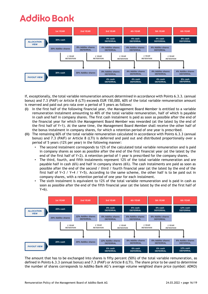

If, exceptionally, the total variable remuneration amount determined in accordance with Points 6.3.3. (annual bonus) and 7.3 (PAIF) or Article 8 (LTI) exceeds EUR 150,000, 60% of the total variable remuneration amount is reserved and paid out pro rata over a period of 5 years as follows:

- **(i)** In the first half of the following financial year, the Management Board Member is entitled to a variable remuneration instalment amounting to 40% of the total variable remuneration, half of which is payable in cash and half in company shares. The first cash instalment is paid as soon as possible after the end of the financial year for which the Management Board Member was rewarded (at the latest by the end of the first half of Y+1). At the same time, the Management Board Member shall receive the other half of the bonus instalment in company shares, for which a retention period of one year is prescribed.
- **(ii)** The remaining 60% of the total variable remuneration calculated in accordance with Points 6.3.3 (annual bonus) and 7.3 (PAIF) or Article 8 (LTI) is deferred and paid out and distributed proportionally over a period of 5 years (12% per year) in the following manner:
	- The second instalment corresponds to 12% of the calculated total variable remuneration and is paid in company shares as soon as possible after the end of the first financial year (at the latest by the end of the first half of Y+2). A retention period of 1 year is prescribed for the company shares.
	- The third, fourth, and fifth instalments represent 12% of the total variable remuneration and are payable half in cash (6%) and half in company shares (6%). The cash instalments are paid as soon as possible after the end of the second / third / fourth financial year (at the latest by the end of the first half of Y+3 / Y+4 / Y+5). According to the same scheme, the other half is to be paid out in company shares, with a retention period of one year for each instalment.
	- The sixth instalment is equivalent to 12% of the total variable remuneration and is paid in cash as soon as possible after the end of the fifth financial year (at the latest by the end of the first half of Y+6).



The amount that has to be exchanged into shares is fifty percent (50%) of the total variable remuneration, as defined in Points 6.3.3 (annual bonus) and 7.3 (PAIF) or Article 8 (LTI). The share price to be used to determine the number of shares corresponds to Addiko Bank AG's average volume weighted share price (symbol: ADKO)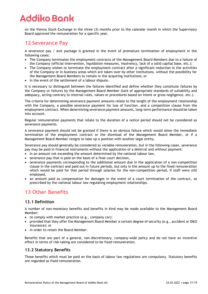on the Vienna Stock Exchange in the three (3) months prior to the calendar month in which the Supervisory Board approved the remuneration for a specific year.

## **12 Severance Pay**

A severance pay / exit package is granted in the event of premature termination of employment in the following cases:

- The Company terminates the employment contracts of the Management Board Members due to a failure of the Company (official intervention, liquidation measures, insolvency, lack of a solid capital base, etc.);
- The Company wishes to terminate the employment contract after a significant reduction in the activities of the Company or in business areas which are taken over by other institutions, without the possibility for the Management Board Members to remain in the acquiring institutions; or
- In the event of the settlement of a labour dispute.

It is necessary to distinguish between the failures identified and define whether they constitute failures by the Company or failures by the Management Board Member (lack of appropriate standards of suitability and adequacy, acting contrary to internal rules, values or procedures based on intent or gross negligence, etc.).

The criteria for determining severance payment amounts relate to the length of the employment relationship with the Company, a possible severance payment for loss of function, and a competition clause from the employment contract. When determining severance payment amounts, long-term performance should be taken into account.

Regular remuneration payments that relate to the duration of a notice period should not be considered as severance payments.

A severance payment should not be granted if there is an obvious failure which would allow the immediate termination of the employment contract or the dismissal of the Management Board Member, or if a Management Board Member resigns to take up a position with another legal entity.

Severance pay should generally be considered as variable remuneration, but in the following cases, severance pay may be paid in financial instruments without the application of a deferral and without payment:

- in an amount not exceeding the amount determined by the national labour law,
- severance pay that is paid on the basis of a final court decision,
- severance payments corresponding to the additional amount due in the application of a non-competition clause in the contract and paid out in future periods, but only in the amount up to the fixed remuneration which would be paid for that period through salaries for the non-competition period, if staff were still employed,
- an amount paid as compensation for damages in the event of a court termination of the contract, as prescribed by the national labour law regulating employment relationships.

## **13 Other Benefits**

#### **13.1 Definition**

A number of non-monetary benefits and benefits in kind may be made available to the Management Board Member:

- to comply with market practice (e.g., company car);
- provided that they offer the Management Board Member a certain degree of security (e.g., accident or D&O insurance); or
- in order to retain the Board Member.

Benefits that are part of a general, non-discretionary, company-wide policy and do not have an incentive effect in terms of risk-taking are considered to be fixed remuneration.

#### **13.2 Statutory Benefits**

Those benefits which must be paid on the basis of labour law regulations are compulsory. Statutory benefits are regarded as fixed remuneration.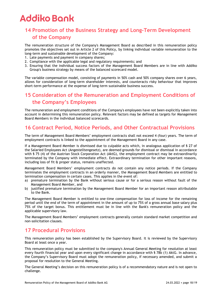## **14 Promotion of the Business Strategy and Long-Term Development of the Company**

The remuneration structure of the Company's Management Board as described in this remuneration policy promotes the objectives set out in Article 2 of this Policy, by linking individual variable remuneration to the long-term and sustainable development of the Company:

- 1. Late payments and payment in company shares;
- 2. Compliance with the applicable legal and regulatory requirements; and
- 3. Ensuring that the individual success factors of the Management Board Members are in line with Addiko Group's business strategy by means of the balanced scorecard model.

The variable compensation model, consisting of payments in 50% cash and 50% company shares over 6 years, allows for consideration of long-term shareholder interests, and counteracts risky behaviour that improves short-term performance at the expense of long-term sustainable business success.

## **15 Consideration of the Remuneration and Employment Conditions of the Company's Employees**

The remuneration and employment conditions of the Company's employees have not been explicitly taken into account in determining this remuneration policy. Relevant factors may be defined as targets for Management Board Members in the individual balanced scorecards.

## **16 Contract Period, Notice Periods, and Other Contractual Provisions**

The term of Management Board Members' employment contracts shall not exceed 4 (four) years. The term of employment contracts is linked to the appointment of the Management Board in any case.

If a Management Board Member is dismissed due to culpable acts which, in analogous application of § 27 of the Salaried Employees Act (Angestelltengesetz), are deemed grounds for dismissal or dismissal in accordance with § 75 (4) of the Austrian Stock Corporation Act (AktG), the employment contract may be extraordinarily terminated by the Company with immediate effect. Extraordinary termination for other important reasons, including loss of fit & proper status, remains unaffected.

Management Board Members' employment contracts do not contain any notice periods. If the Company terminates the employment contracts in an orderly manner, the Management Board Members are entitled to termination compensation in certain cases. This applies in the event of:

- a) premature termination by the Bank without serious cause or for a serious reason without fault of the Management Board Member, and
- b) justified premature termination by the Management Board Member for an important reason attributable to the Bank.

The Management Board Member is entitled to one-time compensation for loss of income for the remaining period until the end of the term of appointment in the amount of up to 75% of a gross annual base salary plus 75% of the target bonus. This entitlement must be in line with the Bank's remuneration policy and the applicable supervisory law.

The Management Board Members' employment contracts generally contain standard market competition and non-solicitation clauses.

## **17 Procedural Provisions**

This remuneration policy has been established by the Supervisory Board. It is reviewed by the Supervisory Board at least once a year.

This remuneration policy must be submitted to the company's Annual General Meeting for resolution at least every fourth financial year and upon every significant change in accordance with § 78b (1) AktG. In advance, the Company's Supervisory Board must adopt the remuneration policy, if necessary amended, and submit a proposal for resolution to the General Meeting.

The General Meeting's decision on this remuneration policy is of a recommendatory nature and is not open to challenge.